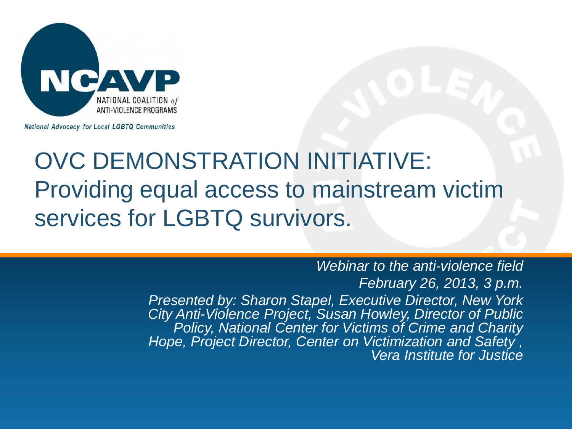

**National Advocacy for Local LGBTQ Communities** 

### OVC DEMONSTRATION INITIATIVE: Providing equal access to mainstream victim services for LGBTQ survivors.

*Webinar to the anti-violence field February 26, 2013, 3 p.m. Presented by: Sharon Stapel, Executive Director, New York City Anti-Violence Project, Susan Howley, Director of Public Policy, National Center for Victims of Crime and Charity Hope, Project Director, Center on Victimization and Safety , Vera Institute for Justice*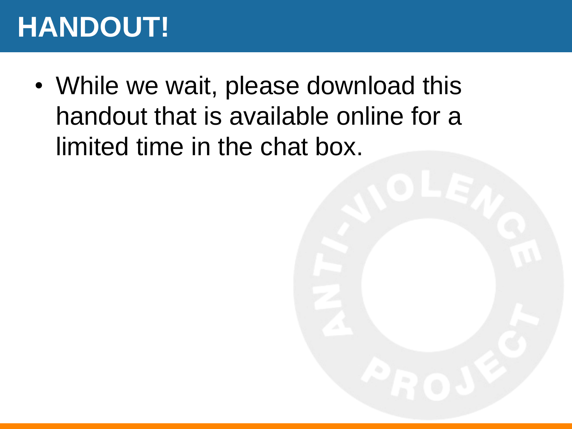## **HANDOUT!**

• While we wait, please download this handout that is available online for a limited time in the chat box.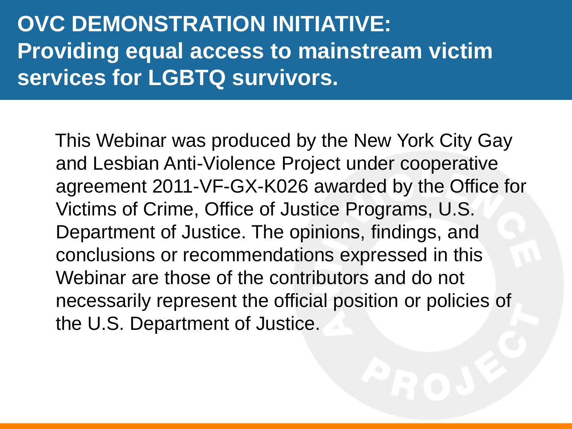#### **OVC DEMONSTRATION INITIATIVE: Providing equal access to mainstream victim services for LGBTQ survivors.**

 This Webinar was produced by the New York City Gay and Lesbian Anti-Violence Project under cooperative agreement 2011-VF-GX-K026 awarded by the Office for Victims of Crime, Office of Justice Programs, U.S. Department of Justice. The opinions, findings, and conclusions or recommendations expressed in this Webinar are those of the contributors and do not necessarily represent the official position or policies of the U.S. Department of Justice.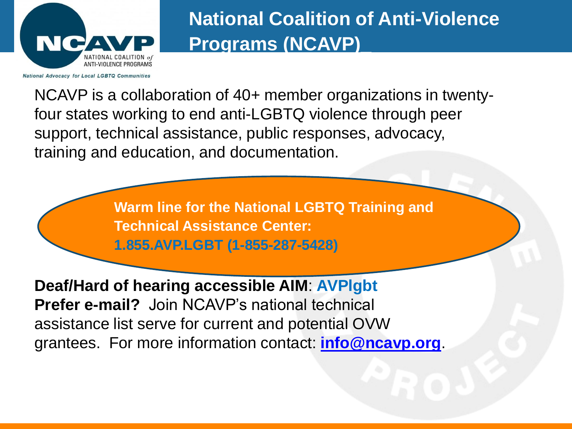

#### **National Coalition of Anti-Violence Programs (NCAVP)\_**

NCAVP is a collaboration of 40+ member organizations in twentyfour states working to end anti-LGBTQ violence through peer support, technical assistance, public responses, advocacy, training and education, and documentation.

> **Warm line for the National LGBTQ Training and Technical Assistance Center: 1.855.AVP.LGBT (1-855-287-5428)**

**Deaf/Hard of hearing accessible AIM**: **AVPlgbt Prefer e-mail?** Join NCAVP's national technical assistance list serve for current and potential OVW grantees. For more information contact: **[info@ncavp.org](mailto:info@ncavp.org)**.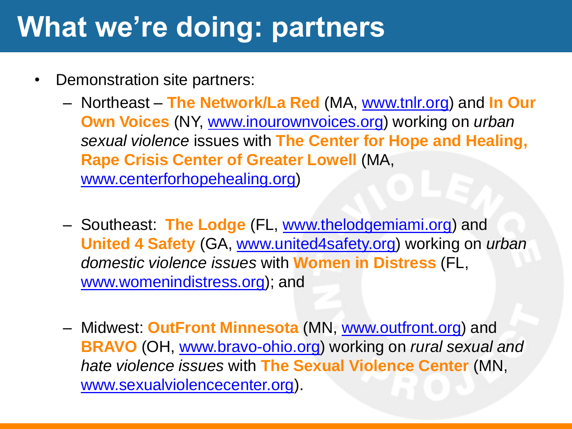## **What we're doing: partners**

- Demonstration site partners:
	- Northeast **The Network/La Red** (MA, [www.tnlr.org](http://www.tnlr.org/)) and **In Our Own Voices** (NY, [www.inourownvoices.org\)](http://www.inourownvoices.org/) working on *urban sexual violence* issues with **The Center for Hope and Healing, Rape Crisis Center of Greater Lowell** (MA, [www.centerforhopehealing.org](http://www.centerforhopehealing.org/))
	- Southeast: **The Lodge** (FL, [www.thelodgemiami.org\)](http://www.thelodgemiami.org/) and **United 4 Safety** (GA, [www.united4safety.org](http://www.united4safety.org/)) working on *urban domestic violence issues* with **Women in Distress** (FL, [www.womenindistress.org](http://www.womenindistress.org/)); and
	- Midwest: **OutFront Minnesota** (MN, [www.outfront.org\)](http://www.outfront.org/) and **BRAVO** (OH, [www.bravo-ohio.org](http://www.bravo-ohio.org/)) working on *rural sexual and hate violence issues* with **The Sexual Violence Center** (MN, [www.sexualviolencecenter.org](http://www.sexualviolencecenter.org/)).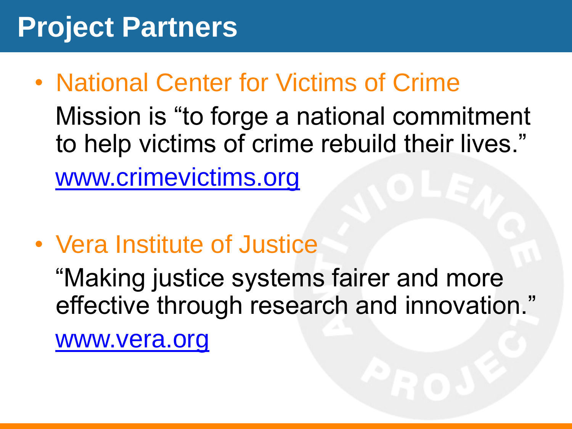## **Project Partners**

- National Center for Victims of Crime Mission is "to forge a national commitment to help victims of crime rebuild their lives." [www.crimevictims.org](http://www.crimevictims.org/)
- Vera Institute of Justice

 "Making justice systems fairer and more effective through research and innovation."

[www.vera.org](http://www.vera.org/)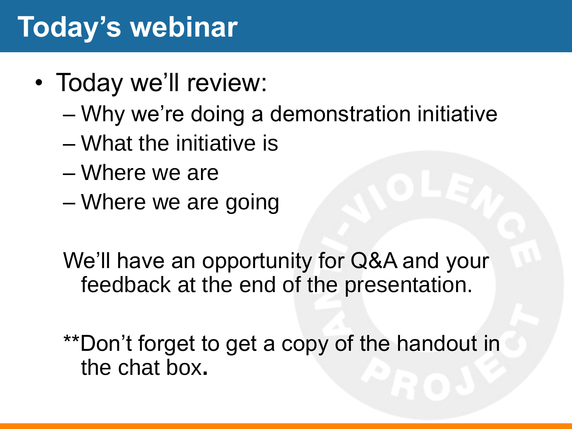## **Today's webinar**

- Today we'll review:
	- Why we're doing a demonstration initiative
	- What the initiative is
	- Where we are
	- Where we are going

We'll have an opportunity for Q&A and your feedback at the end of the presentation.

\*\*Don't forget to get a copy of the handout in the chat box**.**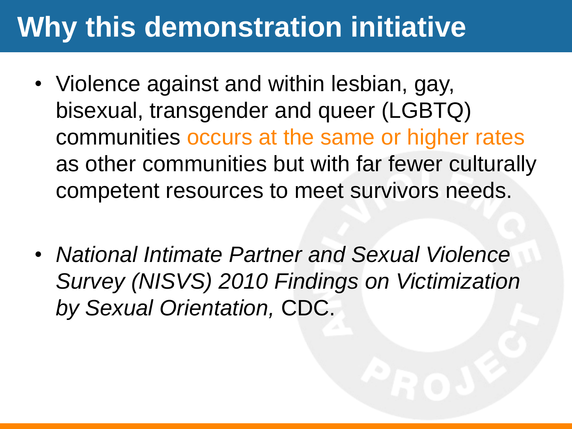## **Why this demonstration initiative**

- Violence against and within lesbian, gay, bisexual, transgender and queer (LGBTQ) communities occurs at the same or higher rates as other communities but with far fewer culturally competent resources to meet survivors needs.
- *National Intimate Partner and Sexual Violence Survey (NISVS) 2010 Findings on Victimization by Sexual Orientation,* CDC.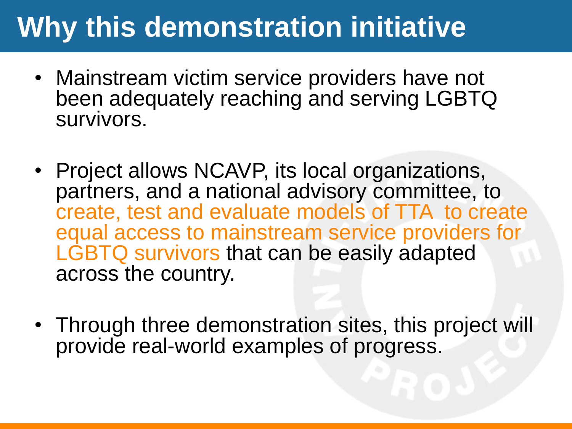## **Why this demonstration initiative**

- Mainstream victim service providers have not been adequately reaching and serving LGBTQ survivors.
- Project allows NCAVP, its local organizations, partners, and a national advisory committee, to create, test and evaluate models of TTA to create equal access to mainstream service providers for LGBTQ survivors that can be easily adapted across the country.
- Through three demonstration sites, this project will provide real-world examples of progress.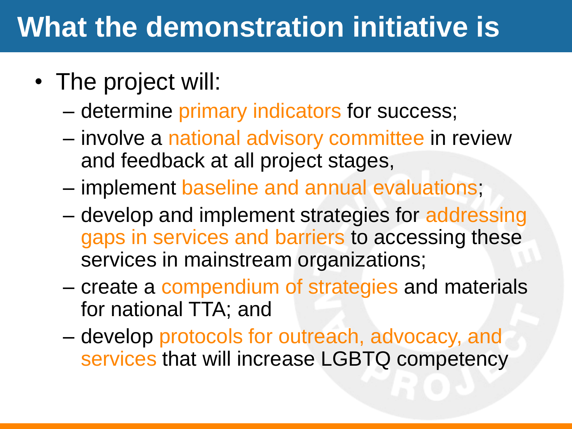## **What the demonstration initiative is**

- The project will:
	- determine primary indicators for success;
	- involve a national advisory committee in review and feedback at all project stages,
	- implement baseline and annual evaluations;
	- develop and implement strategies for addressing gaps in services and barriers to accessing these services in mainstream organizations;
	- create a compendium of strategies and materials for national TTA; and
	- develop protocols for outreach, advocacy, and services that will increase LGBTQ competency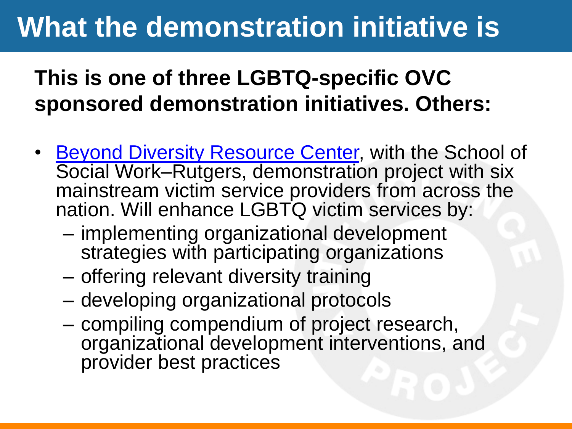## **What the demonstration initiative is**

#### **This is one of three LGBTQ-specific OVC sponsored demonstration initiatives. Others:**

- [Beyond Diversity Resource Center](http://beyonddiversity.org/), with the School of Social Work–Rutgers, demonstration project with six mainstream victim service providers from across the nation. Will enhance LGBTQ victim services by:
	- implementing organizational development strategies with participating organizations
	- offering relevant diversity training
	- developing organizational protocols
	- compiling compendium of project research, organizational development interventions, and provider best practices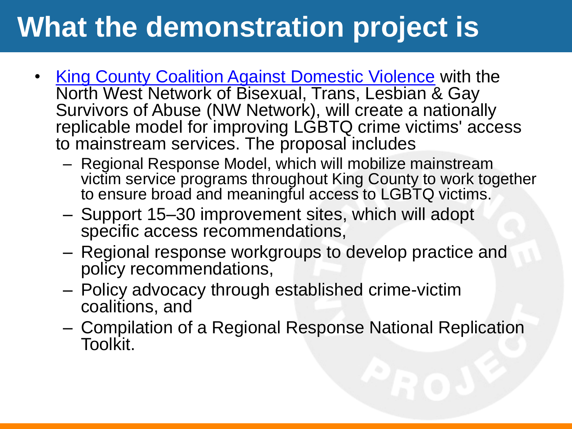## **What the demonstration project is**

- **[King County Coalition Against Domestic Violence](http://www.kccadv.org/) with the** North West Network of Bisexual, Trans, Lesbian & Gay Survivors of Abuse (NW Network), will create a nationally replicable model for improving LGBTQ crime victims' access to mainstream services. The proposal includes
	- Regional Response Model, which will mobilize mainstream victim service programs throughout King County to work together to ensure broad and meaningful access to LGBTQ victims.
	- Support 15–30 improvement sites, which will adopt specific access recommendations,
	- Regional response workgroups to develop practice and policy recommendations,
	- Policy advocacy through established crime-victim coalitions, and
	- Compilation of a Regional Response National Replication Toolkit.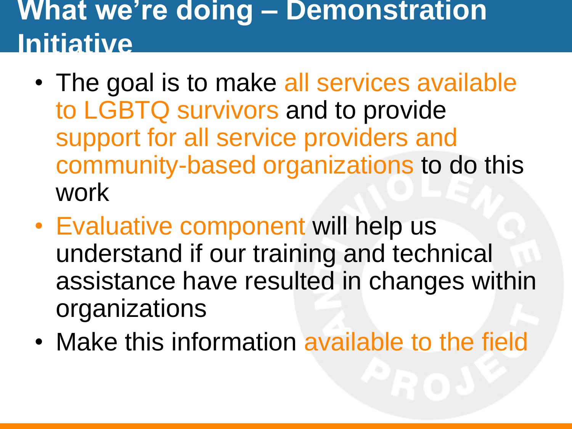## **What we're doing – Demonstration Initiative**

- The goal is to make all services available to LGBTQ survivors and to provide support for all service providers and community-based organizations to do this work
- Evaluative component will help us understand if our training and technical assistance have resulted in changes within organizations
- Make this information available to the field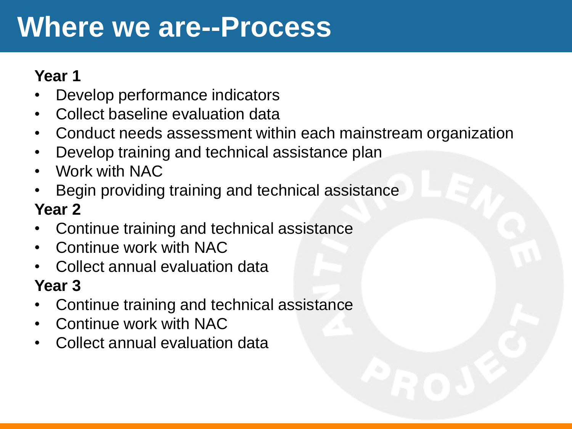## **Where we are--Process**

#### **Year 1**

- Develop performance indicators
- Collect baseline evaluation data
- Conduct needs assessment within each mainstream organization
- Develop training and technical assistance plan
- Work with NAC
- Begin providing training and technical assistance **Year 2**
- Continue training and technical assistance
- Continue work with NAC
- Collect annual evaluation data

#### **Year 3**

- Continue training and technical assistance
- Continue work with NAC
- Collect annual evaluation data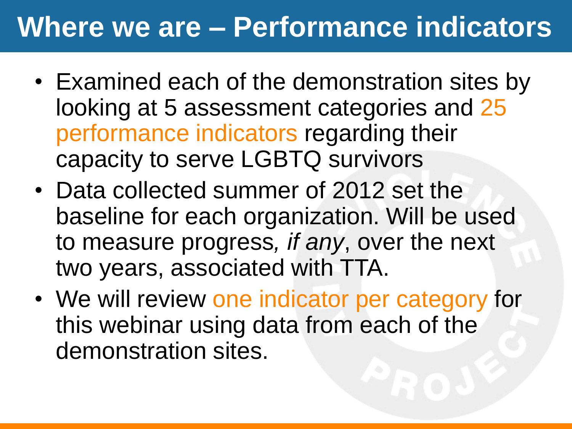## **Where we are – Performance indicators**

- Examined each of the demonstration sites by looking at 5 assessment categories and 25 performance indicators regarding their capacity to serve LGBTQ survivors
- Data collected summer of 2012 set the baseline for each organization. Will be used to measure progress*, if any*, over the next two years, associated with TTA.
- We will review one indicator per category for this webinar using data from each of the demonstration sites.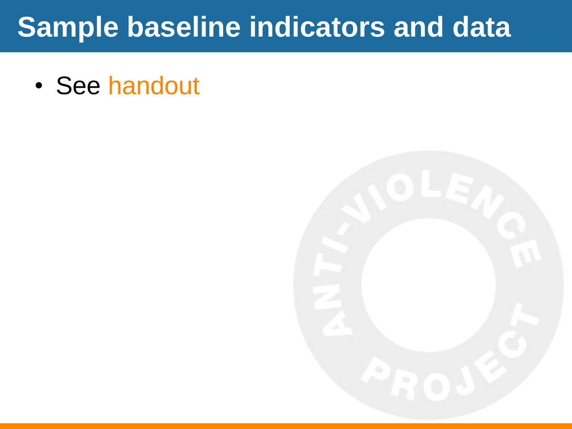## **Sample baseline indicators and data**

• See handout

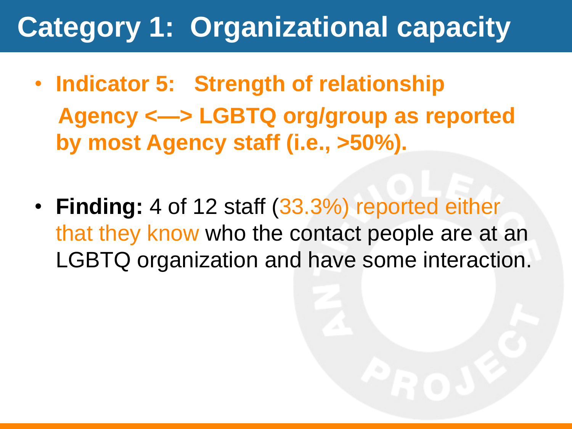# **Category 1: Organizational capacity**

- **Indicator 5: Strength of relationship Agency <—> LGBTQ org/group as reported by most Agency staff (i.e., >50%).**
- **Finding:** 4 of 12 staff (33.3%) reported either that they know who the contact people are at an LGBTQ organization and have some interaction.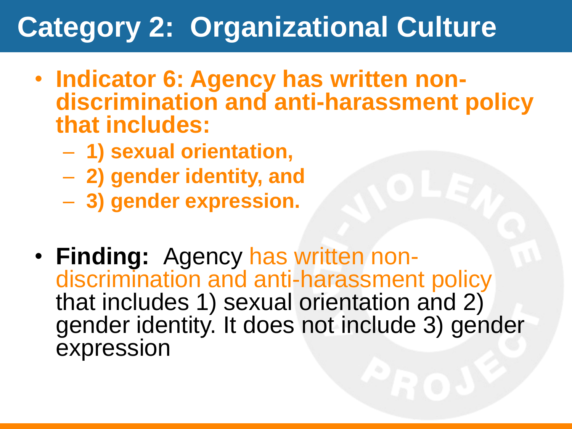## **Category 2: Organizational Culture**

- **Indicator 6: Agency has written nondiscrimination and anti-harassment policy that includes:**
	- **1) sexual orientation,**
	- **2) gender identity, and**
	- **3) gender expression.**
- **Finding:** Agency has written nondiscrimination and anti-harassment policy that includes 1) sexual orientation and 2) gender identity. It does not include 3) gender expression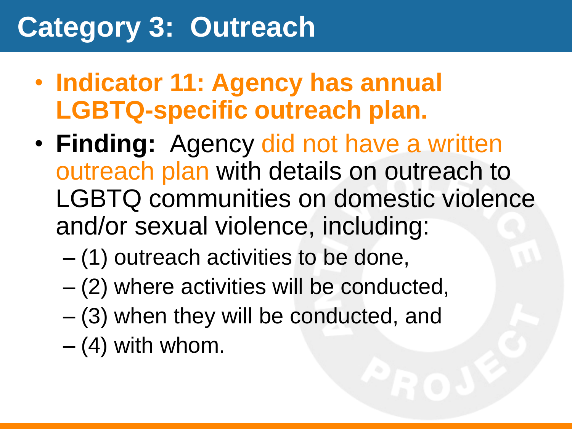## **Category 3: Outreach**

- **Indicator 11: Agency has annual LGBTQ-specific outreach plan.**
- **Finding:** Agency did not have a written outreach plan with details on outreach to LGBTQ communities on domestic violence and/or sexual violence, including:
	- (1) outreach activities to be done,
	- (2) where activities will be conducted,
	- (3) when they will be conducted, and
	- $-$  (4) with whom.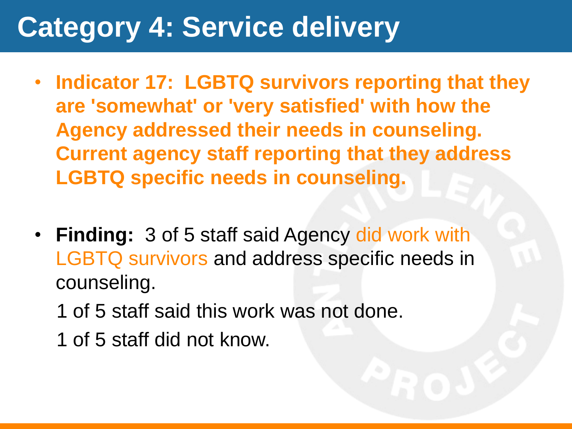## **Category 4: Service delivery**

- **Indicator 17: LGBTQ survivors reporting that they are 'somewhat' or 'very satisfied' with how the Agency addressed their needs in counseling. Current agency staff reporting that they address LGBTQ specific needs in counseling.**
- **Finding:** 3 of 5 staff said Agency did work with LGBTQ survivors and address specific needs in counseling.
	- 1 of 5 staff said this work was not done.
	- 1 of 5 staff did not know.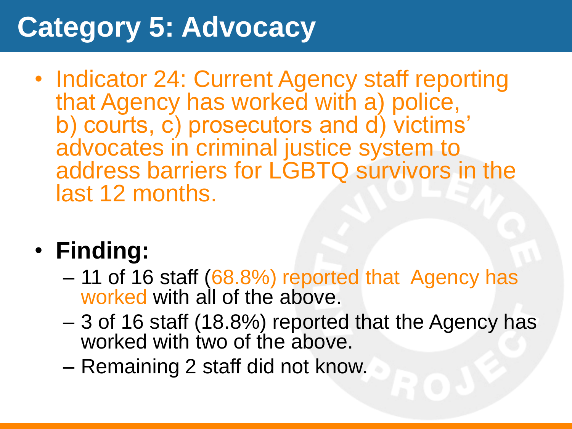## **Category 5: Advocacy**

• Indicator 24: Current Agency staff reporting that Agency has worked with a) police, b) courts, c) prosecutors and d) victims' advocates in criminal justice system to address barriers for LGBTQ survivors in the last 12 months.

#### • **Finding:**

- 11 of 16 staff (68.8%) reported that Agency has worked with all of the above.
- 3 of 16 staff (18.8%) reported that the Agency has worked with two of the above.
- Remaining 2 staff did not know.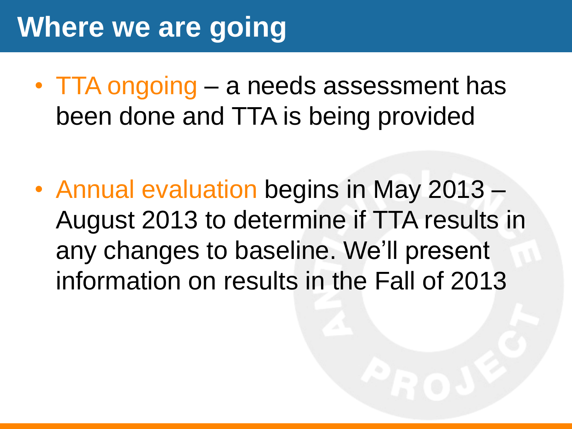## **Where we are going**

• TTA ongoing – a needs assessment has been done and TTA is being provided

• Annual evaluation begins in May 2013 – August 2013 to determine if TTA results in any changes to baseline. We'll present information on results in the Fall of 2013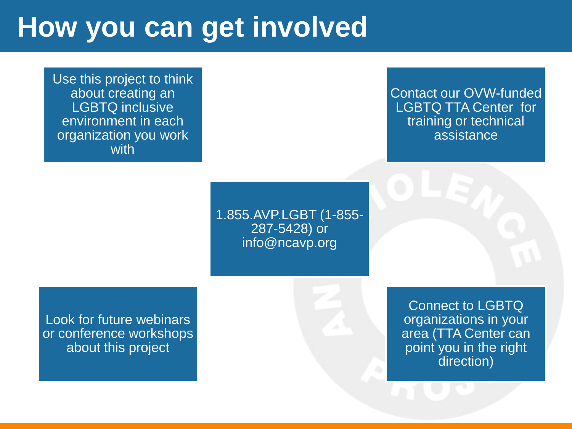## **How you can get involved**

Use this project to think about creating an LGBTQ inclusive environment in each organization you work with

> 1.855.AVP.LGBT (1-855- 287-5428) or info@ncavp.org

> > Connect to LGBTQ organizations in your area (TTA Center can point you in the right direction)

Look for future webinars or conference workshops about this project

Contact our OVW-funded LGBTQ TTA Center for training or technical assistance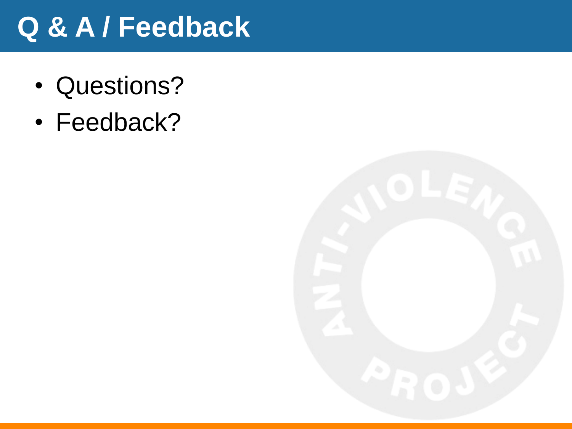## **Q & A / Feedback**

- Questions?
- Feedback?

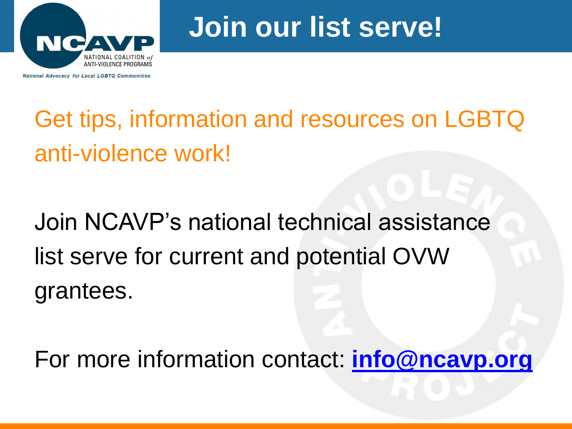

## **Join our list serve!**

## Get tips, information and resources on LGBTQ anti-violence work!

# Join NCAVP's national technical assistance list serve for current and potential OVW grantees.

For more information contact: **[info@ncavp.org](mailto:info@ncavp.org)**